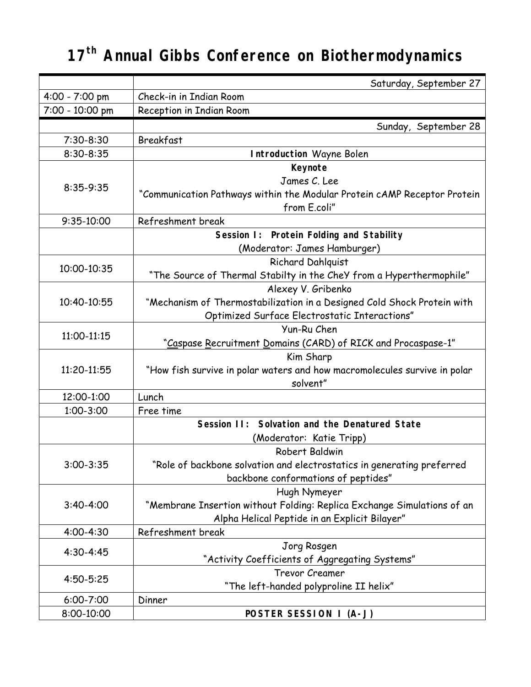## **17th Annual Gibbs Conference on Biothermodynamics**

|                 | Saturday, September 27                                                    |
|-----------------|---------------------------------------------------------------------------|
| 4:00 - 7:00 pm  | Check-in in Indian Room                                                   |
| 7:00 - 10:00 pm | Reception in Indian Room                                                  |
|                 | Sunday, September 28                                                      |
| $7:30-8:30$     | Breakfast                                                                 |
| 8:30-8:35       | <b>Introduction Wayne Bolen</b>                                           |
| 8:35-9:35       | Keynote                                                                   |
|                 | James C. Lee                                                              |
|                 | "Communication Pathways within the Modular Protein cAMP Receptor Protein  |
|                 | from E.coli"                                                              |
| 9:35-10:00      | Refreshment break                                                         |
|                 | Session I: Protein Folding and Stability                                  |
|                 | (Moderator: James Hamburger)                                              |
| 10:00-10:35     | Richard Dahlquist                                                         |
|                 | "The Source of Thermal Stabilty in the CheY from a Hyperthermophile"      |
|                 | Alexey V. Gribenko                                                        |
| 10:40-10:55     | "Mechanism of Thermostabilization in a Designed Cold Shock Protein with   |
|                 | Optimized Surface Electrostatic Interactions"                             |
| 11:00-11:15     | Yun-Ru Chen                                                               |
|                 | "Caspase Recruitment Domains (CARD) of RICK and Procaspase-1"             |
| 11:20-11:55     | Kim Sharp                                                                 |
|                 | "How fish survive in polar waters and how macromolecules survive in polar |
|                 | solvent"                                                                  |
| 12:00-1:00      | Lunch                                                                     |
| 1:00-3:00       | Free time                                                                 |
|                 | Session II: Solvation and the Denatured State                             |
|                 | (Moderator: Katie Tripp)                                                  |
|                 | Robert Baldwin                                                            |
| $3:00 - 3:35$   | "Role of backbone solvation and electrostatics in generating preferred    |
|                 | backbone conformations of peptides"                                       |
|                 | Hugh Nymeyer                                                              |
| $3:40-4:00$     | "Membrane Insertion without Folding: Replica Exchange Simulations of an   |
|                 | Alpha Helical Peptide in an Explicit Bilayer"                             |
| $4:00 - 4:30$   | Refreshment break                                                         |
| 4:30-4:45       | Jorg Rosgen                                                               |
|                 | "Activity Coefficients of Aggregating Systems"                            |
| 4:50-5:25       | <b>Trevor Creamer</b>                                                     |
|                 | "The left-handed polyproline II helix"                                    |
| 6:00-7:00       | Dinner                                                                    |
| 8:00-10:00      | POSTER SESSION I (A-J)                                                    |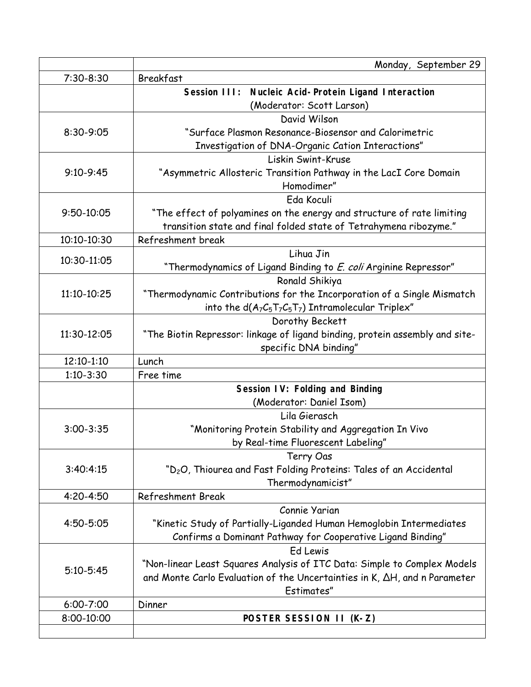|               | Monday, September 29                                                          |
|---------------|-------------------------------------------------------------------------------|
| $7:30-8:30$   | Breakfast                                                                     |
|               | Session III: Nucleic Acid-Protein Ligand Interaction                          |
|               | (Moderator: Scott Larson)                                                     |
| 8:30-9:05     | David Wilson                                                                  |
|               | "Surface Plasmon Resonance-Biosensor and Calorimetric                         |
|               | Investigation of DNA-Organic Cation Interactions"                             |
| $9:10-9:45$   | Liskin Swint-Kruse                                                            |
|               | "Asymmetric Allosteric Transition Pathway in the LacI Core Domain             |
|               | Homodimer"                                                                    |
| 9:50-10:05    | Eda Koculi                                                                    |
|               | "The effect of polyamines on the energy and structure of rate limiting        |
|               | transition state and final folded state of Tetrahymena ribozyme."             |
| 10:10-10:30   | Refreshment break                                                             |
| 10:30-11:05   | Lihua Jin                                                                     |
|               | "Thermodynamics of Ligand Binding to <i>E. coli</i> Arginine Repressor"       |
|               | Ronald Shikiya                                                                |
| 11:10-10:25   | "Thermodynamic Contributions for the Incorporation of a Single Mismatch       |
|               | into the $d(A_7C_5T_7C_5T_7)$ Intramolecular Triplex"                         |
|               | Dorothy Beckett                                                               |
| 11:30-12:05   | "The Biotin Repressor: linkage of ligand binding, protein assembly and site-  |
|               | specific DNA binding"                                                         |
| 12:10-1:10    | Lunch                                                                         |
| $1:10-3:30$   | Free time                                                                     |
|               | Session IV: Folding and Binding                                               |
|               | (Moderator: Daniel Isom)                                                      |
|               | Lila Gierasch                                                                 |
| $3:00 - 3:35$ | "Monitoring Protein Stability and Aggregation In Vivo                         |
|               | by Real-time Fluorescent Labeling"                                            |
| 3:40:4:15     | Terry Oas                                                                     |
|               | "D <sub>2</sub> O, Thiourea and Fast Folding Proteins: Tales of an Accidental |
|               | Thermodynamicist"                                                             |
| 4:20-4:50     | <b>Refreshment Break</b>                                                      |
| 4:50-5:05     | Connie Yarian                                                                 |
|               | "Kinetic Study of Partially-Liganded Human Hemoglobin Intermediates           |
|               | Confirms a Dominant Pathway for Cooperative Ligand Binding"                   |
| $5:10 - 5:45$ | Ed Lewis                                                                      |
|               | "Non-linear Least Squares Analysis of ITC Data: Simple to Complex Models      |
|               | and Monte Carlo Evaluation of the Uncertainties in K, AH, and n Parameter     |
|               | Estimates"                                                                    |
| 6:00-7:00     | Dinner                                                                        |
| 8:00-10:00    | POSTER SESSION II (K-Z)                                                       |
|               |                                                                               |